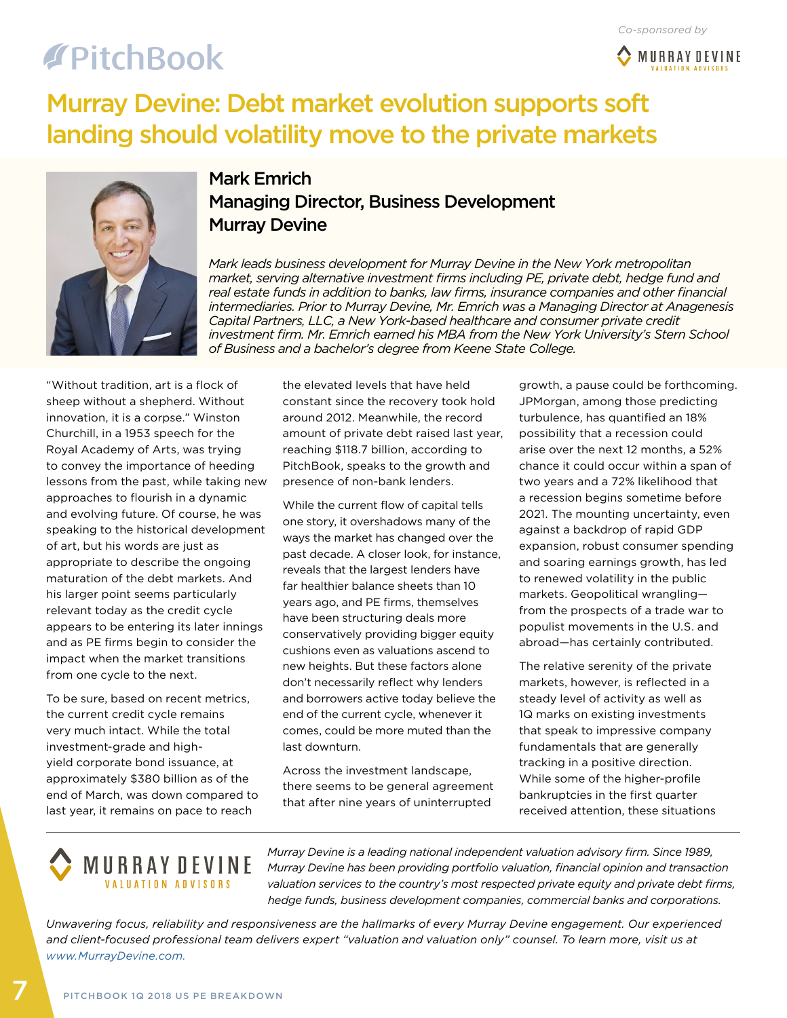# **TPitchBook**



### Murray Devine: Debt market evolution supports soft landing should volatility move to the private markets



#### Mark Emrich Managing Director, Business Development Murray Devine

*Mark leads business development for Murray Devine in the New York metropolitan market, serving alternative investment firms including PE, private debt, hedge fund and real estate funds in addition to banks, law firms, insurance companies and other financial intermediaries. Prior to Murray Devine, Mr. Emrich was a Managing Director at Anagenesis Capital Partners, LLC, a New York-based healthcare and consumer private credit investment firm. Mr. Emrich earned his MBA from the New York University's Stern School of Business and a bachelor's degree from Keene State College.*

"Without tradition, art is a flock of sheep without a shepherd. Without innovation, it is a corpse." Winston Churchill, in a 1953 speech for the Royal Academy of Arts, was trying to convey the importance of heeding lessons from the past, while taking new approaches to flourish in a dynamic and evolving future. Of course, he was speaking to the historical development of art, but his words are just as appropriate to describe the ongoing maturation of the debt markets. And his larger point seems particularly relevant today as the credit cycle appears to be entering its later innings and as PE firms begin to consider the impact when the market transitions from one cycle to the next.

To be sure, based on recent metrics, the current credit cycle remains very much intact. While the total investment-grade and highyield corporate bond issuance, at approximately \$380 billion as of the end of March, was down compared to last year, it remains on pace to reach

the elevated levels that have held constant since the recovery took hold around 2012. Meanwhile, the record amount of private debt raised last year, reaching \$118.7 billion, according to PitchBook, speaks to the growth and presence of non-bank lenders.

While the current flow of capital tells one story, it overshadows many of the ways the market has changed over the past decade. A closer look, for instance, reveals that the largest lenders have far healthier balance sheets than 10 years ago, and PE firms, themselves have been structuring deals more conservatively providing bigger equity cushions even as valuations ascend to new heights. But these factors alone don't necessarily reflect why lenders and borrowers active today believe the end of the current cycle, whenever it comes, could be more muted than the last downturn.

Across the investment landscape, there seems to be general agreement that after nine years of uninterrupted

growth, a pause could be forthcoming. JPMorgan, among those predicting turbulence, has quantified an 18% possibility that a recession could arise over the next 12 months, a 52% chance it could occur within a span of two years and a 72% likelihood that a recession begins sometime before 2021. The mounting uncertainty, even against a backdrop of rapid GDP expansion, robust consumer spending and soaring earnings growth, has led to renewed volatility in the public markets. Geopolitical wrangling from the prospects of a trade war to populist movements in the U.S. and abroad—has certainly contributed.

The relative serenity of the private markets, however, is reflected in a steady level of activity as well as 1Q marks on existing investments that speak to impressive company fundamentals that are generally tracking in a positive direction. While some of the higher-profile bankruptcies in the first quarter received attention, these situations

### **MURRAY DEVINE VALUATION ADVISORS**

*Murray Devine is a leading national independent valuation advisory firm. Since 1989, Murray Devine has been providing portfolio valuation, financial opinion and transaction valuation services to the country's most respected private equity and private debt firms, hedge funds, business development companies, commercial banks and corporations.* 

*Unwavering focus, reliability and responsiveness are the hallmarks of every Murray Devine engagement. Our experienced*  and client-focused professional team delivers expert "valuation and valuation only" counsel. To learn more, visit us at *[www.MurrayDevine.com.](http://www.murraydevine.com/)*